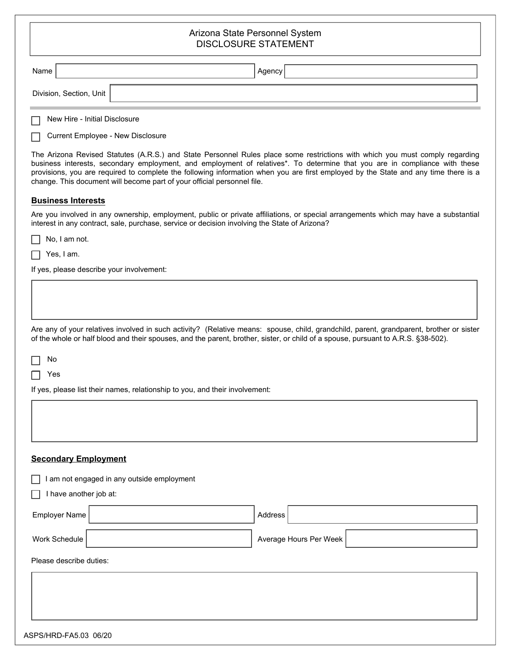## Arizona State Personnel System DISCLOSURE STATEMENT

|                                                                                                                                                                                                                                                                                                                                                                                                                                                                              | DISCLOSURE STATEMENT                                                                                                                                                                                                                 |  |
|------------------------------------------------------------------------------------------------------------------------------------------------------------------------------------------------------------------------------------------------------------------------------------------------------------------------------------------------------------------------------------------------------------------------------------------------------------------------------|--------------------------------------------------------------------------------------------------------------------------------------------------------------------------------------------------------------------------------------|--|
| Name                                                                                                                                                                                                                                                                                                                                                                                                                                                                         | Agency                                                                                                                                                                                                                               |  |
|                                                                                                                                                                                                                                                                                                                                                                                                                                                                              | Division, Section, Unit                                                                                                                                                                                                              |  |
|                                                                                                                                                                                                                                                                                                                                                                                                                                                                              | New Hire - Initial Disclosure                                                                                                                                                                                                        |  |
|                                                                                                                                                                                                                                                                                                                                                                                                                                                                              | <b>Current Employee - New Disclosure</b>                                                                                                                                                                                             |  |
| The Arizona Revised Statutes (A.R.S.) and State Personnel Rules place some restrictions with which you must comply regarding<br>business interests, secondary employment, and employment of relatives*. To determine that you are in compliance with these<br>provisions, you are required to complete the following information when you are first employed by the State and any time there is a<br>change. This document will become part of your official personnel file. |                                                                                                                                                                                                                                      |  |
|                                                                                                                                                                                                                                                                                                                                                                                                                                                                              | <b>Business Interests</b>                                                                                                                                                                                                            |  |
|                                                                                                                                                                                                                                                                                                                                                                                                                                                                              | Are you involved in any ownership, employment, public or private affiliations, or special arrangements which may have a substantial<br>interest in any contract, sale, purchase, service or decision involving the State of Arizona? |  |
|                                                                                                                                                                                                                                                                                                                                                                                                                                                                              | No, I am not.                                                                                                                                                                                                                        |  |
|                                                                                                                                                                                                                                                                                                                                                                                                                                                                              | Yes, I am.                                                                                                                                                                                                                           |  |
|                                                                                                                                                                                                                                                                                                                                                                                                                                                                              | If yes, please describe your involvement:                                                                                                                                                                                            |  |
|                                                                                                                                                                                                                                                                                                                                                                                                                                                                              |                                                                                                                                                                                                                                      |  |
|                                                                                                                                                                                                                                                                                                                                                                                                                                                                              |                                                                                                                                                                                                                                      |  |
|                                                                                                                                                                                                                                                                                                                                                                                                                                                                              | Are any of your relatives involved in such activity? (Relative means: spouse, child, grandchild, parent, grandparent, brother or sister                                                                                              |  |
|                                                                                                                                                                                                                                                                                                                                                                                                                                                                              | of the whole or half blood and their spouses, and the parent, brother, sister, or child of a spouse, pursuant to A.R.S. §38-502).                                                                                                    |  |
| No                                                                                                                                                                                                                                                                                                                                                                                                                                                                           |                                                                                                                                                                                                                                      |  |
| Yes                                                                                                                                                                                                                                                                                                                                                                                                                                                                          |                                                                                                                                                                                                                                      |  |
|                                                                                                                                                                                                                                                                                                                                                                                                                                                                              | If yes, please list their names, relationship to you, and their involvement:                                                                                                                                                         |  |
|                                                                                                                                                                                                                                                                                                                                                                                                                                                                              |                                                                                                                                                                                                                                      |  |
|                                                                                                                                                                                                                                                                                                                                                                                                                                                                              |                                                                                                                                                                                                                                      |  |
|                                                                                                                                                                                                                                                                                                                                                                                                                                                                              |                                                                                                                                                                                                                                      |  |
|                                                                                                                                                                                                                                                                                                                                                                                                                                                                              | <b>Secondary Employment</b>                                                                                                                                                                                                          |  |
|                                                                                                                                                                                                                                                                                                                                                                                                                                                                              | I am not engaged in any outside employment                                                                                                                                                                                           |  |
|                                                                                                                                                                                                                                                                                                                                                                                                                                                                              | I have another job at:                                                                                                                                                                                                               |  |
|                                                                                                                                                                                                                                                                                                                                                                                                                                                                              | <b>Employer Name</b><br>Address                                                                                                                                                                                                      |  |
| Work Schedule                                                                                                                                                                                                                                                                                                                                                                                                                                                                | Average Hours Per Week                                                                                                                                                                                                               |  |
|                                                                                                                                                                                                                                                                                                                                                                                                                                                                              | Please describe duties:                                                                                                                                                                                                              |  |
|                                                                                                                                                                                                                                                                                                                                                                                                                                                                              |                                                                                                                                                                                                                                      |  |
|                                                                                                                                                                                                                                                                                                                                                                                                                                                                              |                                                                                                                                                                                                                                      |  |
|                                                                                                                                                                                                                                                                                                                                                                                                                                                                              |                                                                                                                                                                                                                                      |  |
|                                                                                                                                                                                                                                                                                                                                                                                                                                                                              |                                                                                                                                                                                                                                      |  |
|                                                                                                                                                                                                                                                                                                                                                                                                                                                                              | ASPS/HRD-FA5.03 06/20                                                                                                                                                                                                                |  |